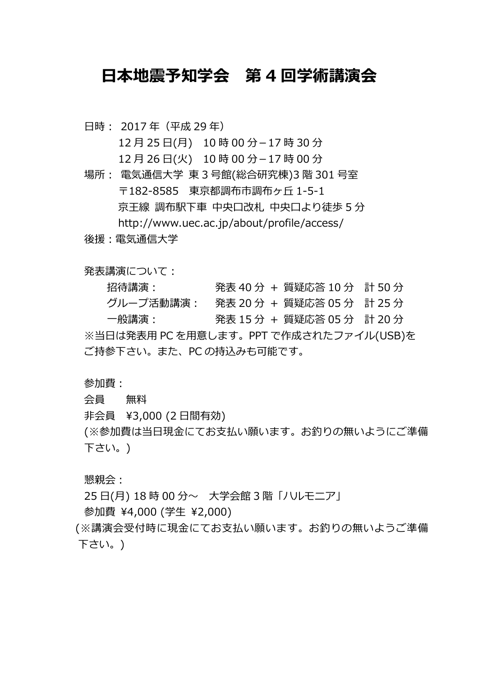## 日本地震予知学会 第 4 回学術講演会

日時: 2017年 (平成 29年)

12 月 25 ⽇(月) 10 時 00 分-17 時 30 分

- 12 月 26 ⽇(火) 10 時 00 分-17 時 00 分
- 場所︓ 電気通信大学 東 3 号館(総合研究棟)3 階 301 号室 〒182-8585 東京都調布市調布ヶ丘 1-5-1 京王線 調布駅下車 中央口改札 中央口より徒歩 5 分 http://www.uec.ac.jp/about/profile/access/
- 後援:雷気通信大学

発表講演について:

招待講演︓ 発表 40 分 + 質疑応答 10 分 計 50 分 グループ活動講演︓ 発表 20 分 + 質疑応答 05 分 計 25 分 一般講演: イントン 発表 15 分 + 質疑応答 05 分 計 20 分 ※当⽇は発表用 PC を用意します。PPT で作成されたファイル(USB)を ご持参下さい。また、PC の持込みも可能です。

参加費:

会員 無料

非会員 ¥3,000 (2 日間有効)

(※参加費は当日現金にてお支払い願います。お釣りの無いようにご準備 下さい。)

懇親会·

25 ⽇(月) 18 時 00 分〜 大学会館 3 階「ハルモニア」

参加費 ¥4,000 (学生 ¥2,000)

(※講演会受付時に現金にてお支払い願います。お釣りの無いようご準備 下さい。)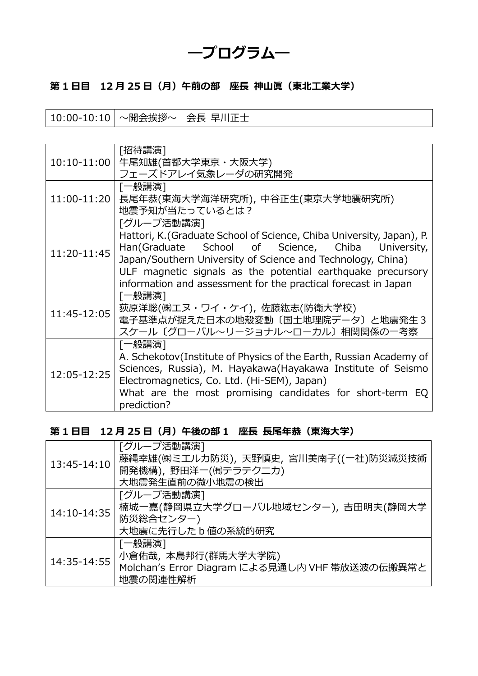# ―プログラム―

## 第 1 日目 12 月 25 日 (月) 午前の部 座長 神山眞 (東北工業大学)

10:00-10:10 〜開会挨拶〜 会⻑ 早川正士

| 10:10-11:00 | [招待講演]<br>牛尾知雄(首都大学東京・大阪大学)<br>フェーズドアレイ気象レーダの研究開発                                                                                                                                                                                                                                                                                        |
|-------------|------------------------------------------------------------------------------------------------------------------------------------------------------------------------------------------------------------------------------------------------------------------------------------------------------------------------------------------|
| 11:00-11:20 | [一般講演]<br>長尾年恭(東海大学海洋研究所), 中谷正生(東京大学地震研究所)<br>地震予知が当たっているとは?                                                                                                                                                                                                                                                                             |
| 11:20-11:45 | 「グループ活動講演]<br>Hattori, K. (Graduate School of Science, Chiba University, Japan), P.<br>Han(Graduate School of Science, Chiba University,<br>Japan/Southern University of Science and Technology, China)<br>ULF magnetic signals as the potential earthquake precursory<br>information and assessment for the practical forecast in Japan |
| 11:45-12:05 | [一般講演]<br>荻原洋聡(㈱エヌ・ワイ・ケイ), 佐藤紘志(防衛大学校)<br>電子基準点が捉えた日本の地殻変動〔国土地理院データ〕と地震発生3<br>スケール〔グローバル~リージョナル~ローカル〕相関関係の一考察                                                                                                                                                                                                                            |
| 12:05-12:25 | [一般講演]<br>A. Schekotov(Institute of Physics of the Earth, Russian Academy of<br>Sciences, Russia), M. Hayakawa(Hayakawa Institute of Seismo<br>Electromagnetics, Co. Ltd. (Hi-SEM), Japan)<br>What are the most promising candidates for short-term EQ<br>prediction?                                                                    |

#### 第 1 日目 12 月 25 日 (月) 午後の部 1 座長 長尾年恭 (東海大学)

| 13:45-14:10 | 「グループ活動講演]                                     |
|-------------|------------------------------------------------|
|             | 藤縄幸雄(㈱ミエルカ防災), 天野慎史, 宮川美南子((一社)防災減災技術          |
|             | 開発機構), 野田洋一(셰テラテクニカ)                           |
|             | 大地震発生直前の微小地震の検出                                |
| 14:10-14:35 | [グループ活動講演]                                     |
|             | 楠城一嘉(静岡県立大学グローバル地域センター), 吉田明夫(静岡大学             |
|             | 防災総合センター)                                      |
|             | 大地震に先行した b 値の系統的研究                             |
| 14:35-14:55 | [一般講演]                                         |
|             | 小倉佑哉,本島邦行(群馬大学大学院)                             |
|             | Molchan's Error Diagram による見通し内 VHF 帯放送波の伝搬異常と |
|             | 地震の関連性解析                                       |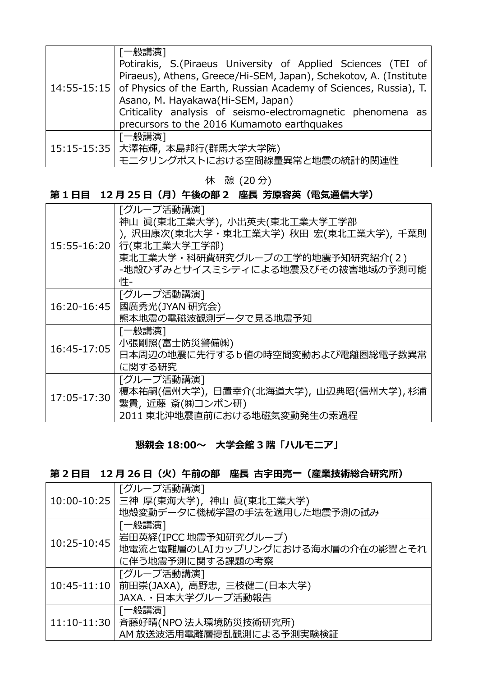|  | [一般講演]                                                                          |
|--|---------------------------------------------------------------------------------|
|  | Potirakis, S. (Piraeus University of Applied Sciences (TEI of                   |
|  | Piraeus), Athens, Greece/Hi-SEM, Japan), Schekotov, A. (Institute               |
|  | 14:55-15:15   of Physics of the Earth, Russian Academy of Sciences, Russia), T. |
|  | Asano, M. Hayakawa(Hi-SEM, Japan)                                               |
|  | Criticality analysis of seismo-electromagnetic phenomena as                     |
|  | precursors to the 2016 Kumamoto earthquakes                                     |
|  | 一般講演]                                                                           |
|  | 15:15-15:35   大澤祐輝, 本島邦行(群馬大学大学院)                                               |
|  | モニタリングポストにおける空間線量異常と地震の統計的関連性                                                   |

休 憩 (20 分)

## 第 1 日目 12 月 25 日 (月) 午後の部 2 座長 芳原容英 (電気通信大学)

| 15:55-16:20 | [グループ活動講演]                             |
|-------------|----------------------------------------|
|             | 神山 眞(東北工業大学), 小出英夫(東北工業大学工学部           |
|             | ), 沢田康次(東北大学・東北工業大学) 秋田 宏(東北工業大学), 千葉則 |
|             | 行(東北工業大学工学部)                           |
|             | 東北工業大学・科研費研究グループの工学的地震予知研究紹介(2)        |
|             | -地殻ひずみとサイスミシティによる地震及びその被害地域の予測可能       |
|             | 忤-                                     |
|             | [グループ活動講演]                             |
| 16:20-16:45 | 國廣秀光(JYAN 研究会)                         |
|             | 熊本地震の電磁波観測データで見る地震予知                   |
|             | [一般講演]                                 |
| 16:45-17:05 | 小張剛照(富士防災警備㈱)                          |
|             | 日本周辺の地震に先行するb値の時空間変動および電離圏総電子数異常       |
|             | に関する研究                                 |
| 17:05-17:30 | 「グループ活動講演]                             |
|             | 榎本祐嗣(信州大学),日置幸介(北海道大学),山辺典昭(信州大学),杉浦   |
|             | 繁貴, 近藤 斎(㈱コンポン研)                       |
|             | 2011 東北沖地震直前における地磁気変動発生の素過程            |

#### 懇親会 18:00〜 ⼤学会館 3 階「ハルモニア」

## 第 2 日目 12 月 26 日 (火) 午前の部 座長 古宇田亮一 (産業技術総合研究所)

|                 | [グループ活動講演]                             |
|-----------------|----------------------------------------|
|                 | 10:00-10:25   三神 厚(東海大学), 神山 眞(東北工業大学) |
|                 | 地殻変動データに機械学習の手法を適用した地震予測の試み            |
| 10:25-10:45     | [一般講演]                                 |
|                 | 岩田英経(IPCC 地震予知研究グループ)                  |
|                 | 地電流と電離層のLAIカップリングにおける海水層の介在の影響とそれ      |
|                 | に伴う地震予測に関する課題の考察                       |
|                 | [グループ活動講演]                             |
| $10:45 - 11:10$ | 前田崇(JAXA), 高野忠, 三枝健二(日本大学)             |
|                 | JAXA. · 日本大学グループ活動報告                   |
| $11:10-11:30$   | [一般講演]                                 |
|                 | 斉藤好晴(NPO 法人環境防災技術研究所)                  |
|                 | AM 放送波活用電離層擾乱観測による予測実験検証               |